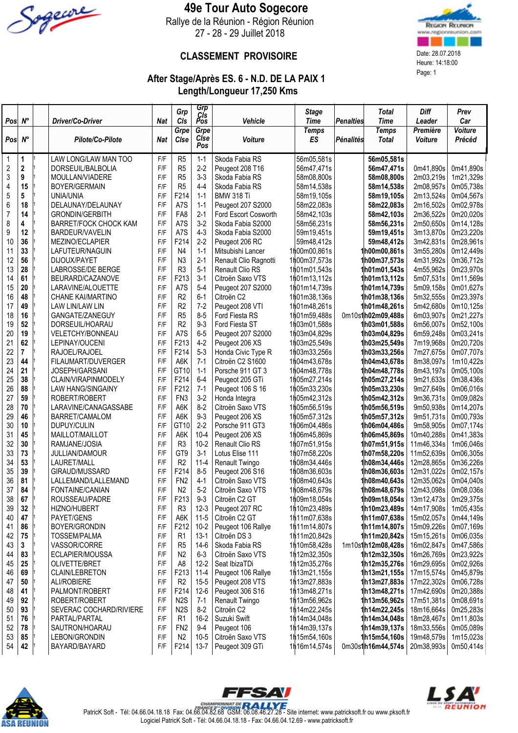

### 49e Tour Auto Sogecore

Rallye de la Réunion - Région Réunion 27 - 28 - 29 Juillet 2018



#### CLASSEMENT PROVISOIRE Date: 28.07.2018

# After Stage/Après ES. 6 - N.D. DE LA PAIX 1 Length/Longueur 17,250 Kms

|                         |             |                                       |            | Grp                              | Grp<br>CIs         |                                     | <b>Stage</b>                 |                  | <b>Total</b>                              | <b>Diff</b>              | Prev                   |
|-------------------------|-------------|---------------------------------------|------------|----------------------------------|--------------------|-------------------------------------|------------------------------|------------------|-------------------------------------------|--------------------------|------------------------|
| Pos $N^\circ$           |             | Driver/Co-Driver                      | <b>Nat</b> | CIs<br>Grpe                      | Pos<br>Grpe        | Vehicle                             | <b>Time</b>                  | <b>Penalties</b> | <b>Time</b><br><b>Temps</b>               | Leader<br>Première       | Car<br><b>Voiture</b>  |
| Pos                     | $N^{\circ}$ | Pilote/Co-Pilote                      | <b>Nat</b> | Cise                             | Cise<br>Pos        | Voiture                             | <b>Temps</b><br>ES           | <b>Pénalités</b> | <b>Total</b>                              | <b>Voiture</b>           | Précéd                 |
| $\mathbf 1$             | 1           | LAW LONG/LAW MAN TOO                  | F/F        | R <sub>5</sub>                   | $1 - 1$            | Skoda Fabia RS                      | 56m05,581s                   |                  | 56m05,581s                                |                          |                        |
| $\overline{\mathbf{c}}$ | $\mathbf 2$ | DORSEUIL/BALBOLIA                     | F/F        | R <sub>5</sub>                   | $2 - 2$            | Peugeot 208 T16                     | 56m47,471s                   |                  | 56m47,471s                                | 0m41,890s                | 0m41,890s              |
| $\sqrt{3}$              | 9           | MOULLAN/VIADERE                       | F/F        | R <sub>5</sub>                   | $3-3$              | Skoda Fabia RS                      | 58m08,800s                   |                  | 58m08,800s                                | 2m03,219s                | 1m21,329s              |
| 4                       | 15          | <b>BOYER/GERMAIN</b>                  | F/F        | R <sub>5</sub>                   | $4 - 4$            | Skoda Fabia RS                      | 58m14,538s                   |                  | 58m14,538s                                | 2m08,957s                | 0m05,738s              |
| $\sqrt{5}$              | 5           | <b>UNIA/UNIA</b>                      | F/F        | F214                             | $1 - 1$            | <b>BMW 318 Ti</b>                   | 58m19,105s                   |                  | 58m19,105s                                | 2m13,524s                | 0m04,567s              |
| 6                       | 18          | DELAUNAY/DELAUNAY                     | F/F        | A7S                              | $1 - 1$            | Peugeot 207 S2000                   | 58m22,083s                   |                  | 58m22.083s                                | 2m16,502s                | 0m02,978s              |
| $\overline{7}$          | 14          | <b>GRONDIN/GERBITH</b>                | F/F        | FA8                              | $2-1$              | Ford Escort Cosworth                | 58m42,103s                   |                  | 58m42,103s                                | 2m36,522s                | 0m20,020s              |
| 8                       | 4           | BARRET/FOCK CHOCK KAM                 | F/F        | A7S                              | $3-2$              | Skoda Fabia S2000                   | 58m56,231s                   |                  | 58m56,231s                                | 2m50,650s                | 0m14,128s              |
| 9                       | 12<br>36    | BARDEUR/VAVELIN                       | F/F<br>F/F | A7S                              | $4 - 3$<br>$2 - 2$ | Skoda Fabia S2000                   | 59m19,451s                   |                  | 59m19,451s                                | 3m13,870s                | 0m23,220s              |
| 10<br>11                | 33          | MEZINO/ECLAPIER<br>LAFUTEUR/NAGUIN    | F/F        | F214<br>N4                       | $1 - 1$            | Peugeot 206 RC<br>Mitsubishi Lancer | 59m48,412s<br>1h00m00,861s   |                  | 59m48,412s<br>1 <b>h00m00,861s</b>        | 3m42,831s<br>3m55,280s   | 0m28,961s<br>0m12,449s |
| 12                      | 56          | DIJOUX/PAYET                          | F/F        | N <sub>3</sub>                   | $2-1$              | Renault Clio Ragnotti               | 1h00m37,573s                 |                  | 1 <b>h00m37,573s</b>                      | 4m31,992s                | 0m36,712s              |
| 13                      | 28          | LABROSSE/DE BERGE                     | F/F        | R <sub>3</sub>                   | $5 - 1$            | Renault Clio RS                     | 1h01m01,543s                 |                  | 1 <b>h01m01,543s</b>                      | 4m55,962s                | 0m23,970s              |
| 14                      | 61          | BEURARD/CAZANOVE                      | F/F        | F213                             | $3 - 1$            | Citroën Saxo VTS                    | 1h01m13,112s                 |                  | h01m13,112s                               | 5m07,531s                | 0m11,569s              |
| 15                      | 20          | LARAVINE/ALOUETTE                     | F/F        | A7S                              | $5-4$              | Peugeot 207 S2000                   | 1h01m14,739s                 |                  | 1 <b>h01m14,739s</b>                      | 5m09,158s                | 0m01,627s              |
| 16                      | 48          | <b>CHANE KAI/MARTINO</b>              | F/F        | R <sub>2</sub>                   | $6-1$              | Citroën C2                          | 1h01m38,136s                 |                  | 1 <b>h01m38,136s</b>                      | 5m32,555s                | 0m23,397s              |
| 17                      | 49          | LAW LIN/LAW LIN                       | F/F        | R <sub>2</sub>                   | $7 - 2$            | Peugeot 208 VTI                     | 1h01m48,261s                 |                  | 1 <b>h01m48,261s</b>                      | 5m42,680s                | 0m10,125s              |
| 18                      | 16          | GANGATE/ZANEGUY                       | F/F        | R <sub>5</sub>                   | $8 - 5$            | Ford Fiesta RS                      | 1h01m59,488s                 |                  | 0m10s1h02m09,488s                         | 6m03,907s                | 0m21,227s              |
| 19                      | 52          | DORSEUIL/HOARAU                       | F/F        | R <sub>2</sub>                   | $9-3$              | Ford Fiesta ST                      | 1h03m01,588s                 |                  | 1 <b>h03m01,588s</b>                      | 6m56,007s                | 0m52,100s              |
| 20                      | 19          | <b>VELETCHY/BONNEAU</b>               | F/F        | A7S                              | $6-5$              | Peugeot 207 S2000                   | 1h03m04,829s                 |                  | 1h03m04,829s                              | 6m59,248s                | 0m03,241s              |
| 21                      | 62          | LEPINAY/OUCENI                        | F/F        | F213                             | $4-2$              | Peugeot 206 XS                      | 1h03m25,549s                 |                  | 1h03m25,549s                              | 7m19,968s                | 0m20,720s              |
| 22                      | 7           | RAJOEL/RAJOEL                         | F/F        | F214                             | $5-3$              | Honda Civic Type R                  | 1h03m33,256s                 |                  | h03m33,256s                               | 7m27,675s                | 0m07,707s              |
| 23                      | 44          | FILAUMART/DUVERGER                    | F/F        | A6K                              | $7-1$              | Citroën C2 S1600                    | 1h04m43,678s                 |                  | 1 <b>h04m43,678s</b>                      | 8m38,097s                | 1m10,422s              |
| 24                      | 21          | JOSEPH/GARSANI                        | F/F        | GT <sub>10</sub>                 | $1 - 1$            | Porsche 911 GT 3                    | 1h04m48,778s                 |                  | 1 <b>h04m48,778s</b>                      | 8m43,197s                | 0m05,100s              |
| 25                      | 38          | CLAIN/VIRAPINMODELY                   | F/F        | F214                             | $6-4$              | Peugeot 205 GTi                     | 1h05m27,214s                 |                  | 1 <b>h05m27,214s</b>                      | 9m21,633s                | 0m38,436s              |
| 26                      | 88          | <b>LAW HANG/SINGAINY</b>              | F/F        | F212<br>FN <sub>3</sub>          | $7 - 1$            | Peugeot 106 S 16                    | 1h05m33,230s                 |                  | 1 <b>h05m33,230s</b>                      | 9m27,649s                | 0m06,016s              |
| 27<br>28                | 59<br>70    | ROBERT/ROBERT<br>LARAVINE/CANAGASSABE | F/F<br>F/F | A6K                              | $3-2$<br>$8 - 2$   | Honda Integra<br>Citroën Saxo VTS   | 1h05m42,312s<br>1h05m56,519s |                  | h05m42,312s                               | 9m36,731s<br>9m50,938s   | 0m09,082s<br>0m14,207s |
| 29                      | 46          | BARRET/CAMALOM                        | F/F        | A6K                              | $9 - 3$            | Peugeot 206 XS                      | 1h05m57,312s                 |                  | 1 h05m56,519s<br>1h05m57,312s             | 9m51,731s                | 0m00,793s              |
| 30                      | 10          | DUPUY/CULIN                           | F/F        | GT <sub>10</sub>                 | $2-2$              | Porsche 911 GT3                     | 1h06m04,486s                 |                  | 1h06m04,486s                              | 9m58,905s                | 0m07,174s              |
| 31                      | 45          | MAILLOT/MAILLOT                       | F/F        | A6K                              | $10 - 4$           | Peugeot 206 XS                      | 1⋔06m45,869s                 |                  | lh06m45,869s                              | 10m40,288s               | 0m41,383s              |
| 32                      | 30          | RAMJANE/JOSIA                         | F/F        | R <sub>3</sub>                   | $10-2$             | Renault Clio RS                     | 1h07m51,915s                 |                  | 1h07m51,915s                              | 11m46,334s               | 1m06,046s              |
| 33                      | 73          | <b>JULLIAN/DAMOUR</b>                 | F/F        | GT9                              | $3-1$              | Lotus Elise 111                     | 1h07m58,220s                 |                  | h07m58,220s                               | 11m52,639s               | 0m06,305s              |
| 34                      | 53          | LAURET/MALL                           | F/F        | R <sub>2</sub>                   | $11 - 4$           | Renault Twingo                      | 1h08m34,446s                 |                  | 1 <b>h08m34,446s</b>                      | 12m28,865s               | 0m36,226s              |
| 35                      | 39          | GIRAUD/MUSSARD                        | F/F        | F214                             | $8 - 5$            | Peugeot 206 S16                     | 1h08m36,603s                 |                  | h08m36,603s                               | 12m31,022s               | 0m02,157s              |
| 36                      | 81          | LALLEMAND/LALLEMAND                   | F/F        | FN <sub>2</sub>                  | $4 - 1$            | Citroën Saxo VTS                    | 1h08m40,643s                 |                  | 1h08m40,643s                              | 12m35,062s               | 0m04,040s              |
| 37                      | 84          | FONTAINE/CANIAN                       | F/F        | N <sub>2</sub>                   | $5-2$              | Citroën Saxo VTS                    | 1h08m48,679s                 |                  | 1h08m48,679s                              | 12m43,098s               | 0m08,036s              |
| 38                      | 67          | ROUSSEAU/PADRE                        | F/F        | F213                             | $9 - 3$            | Citroën C2 GT                       | 1h09m18,054s                 |                  | 1h09m18,054s                              | 13m12,473s               | 0m29,375s              |
| 39                      | 32          | HIZNO/HUBERT                          | F/F        | R <sub>3</sub>                   | $12 - 3$           | Peugeot 207 RC                      | 1h10m23,489s                 |                  | 1 <b>h10m23,489s</b>                      | 14m17,908s               | 1m05,435s              |
| 40                      | 47          | PAYET/GENS                            | F/F        | A6K                              | $11-5$             | Citroën C2 GT                       | 1h11m07,638s                 |                  | 1 <b>h11m07,638s</b>                      | 15m02,057s               | 0m44,149s              |
| 41                      | 86          | BOYER/GRONDIN                         | F/F        | F212                             | $10 - 2$           | Peugeot 106 Rallye                  | 1h11m14,807s                 |                  | 1 <b>h11m14,807s</b>                      | 15m09,226s               | 0m07,169s              |
| 42                      | 75          | TOSSEM/PALMA                          | F/F        | R <sub>1</sub>                   | $13-1$             | Citroën DS 3<br>Skoda Fabia RS      | 1h11m20,842s                 |                  | 1 <b>h11m20,842s</b><br>1m10s1h12m08,428s | 15m15,261s               | 0m06,035s              |
| 43<br>44                | 3<br>83     | VASSOR/CORRE<br>ECLAPIER/MOUSSA       | F/F<br>F/F | R <sub>5</sub><br>N <sub>2</sub> | 14-6<br>$6 - 3$    | Citroën Saxo VTS                    | 1h10m58,428s<br>1h12m32,350s |                  | 1 h12 m32,350 s                           | 16m02,847s<br>16m26,769s | 0m47,586s<br>0m23,922s |
| 45                      | 25          | OLIVETTE/BRET                         | F/F        | A <sub>8</sub>                   | $12 - 2$           | Seat IbizaTDi                       | 1h12m35,276s                 |                  | 1 <b>h12m35,276s</b>                      | 16m29,695s               | 0m02,926s              |
| 46                      | 69          | <b>CLAIN/LEBRETON</b>                 | F/F        | F213                             | $11 - 4$           | Peugeot 106 Rallye                  | 1h13m21,155s                 |                  | 1 <b>h13m21,155s</b>                      | 17m15,574s               | 0m45,879s              |
| 47                      | 50          | ALI/ROBIERE                           | F/F        | R <sub>2</sub>                   | $15 - 5$           | Peugeot 208 VTS                     | 1h13m27,883s                 |                  | 1 <b>h13m27,883s</b>                      | 17m22,302s               | 0m06,728s              |
| 48                      | 41          | PALMONT/ROBERT                        | F/F        | F214                             | $12-6$             | Peugeot 306 S16                     | 1h13m48,271s                 |                  | 1 <b>h13m48,271s</b>                      | 17m42,690s               | 0m20,388s              |
| 49                      | 92          | ROBERT/ROBERT                         | F/F        | N <sub>2</sub> S                 | $7 - 1$            | Renault Twingo                      | 1h13m56,962s                 |                  | 1h13m56,962s                              | 17m51,381s               | 0m08,691s              |
| 50                      | 93          | SEVERAC COCHARD/RIVIERE               | F/F        | N <sub>2</sub> S                 | $8 - 2$            | Citroën C2                          | 1h14m22,245s                 |                  | 1 h14m22,245s                             | 18m16,664s               | 0m25,283s              |
| 51                      | 76          | PARTAL/PARTAL                         | F/F        | R <sub>1</sub>                   | $16-2$             | Suzuki Swift                        | 1h14m34,048s                 |                  | 1 <b>h14m34,048s</b>                      | 18m28,467s               | 0m11,803s              |
| 52                      | 78          | SAUTRON/HOARAU                        | F/F        | FN <sub>2</sub>                  | $9 - 4$            | Peugeot 106                         | 1h14m39,137s                 |                  | 1 h14m39,137s                             | 18m33,556s               | 0m05,089s              |
| 53                      | 85          | LEBON/GRONDIN                         | F/F        | N <sub>2</sub>                   | $10 - 5$           | Citroën Saxo VTS                    | 1h15m54,160s                 |                  | 1h15m54,160s                              | 19m48,579s               | 1m15,023s              |
| 54                      | 42          | BAYARD/BAYARD                         | F/F        | F214                             | $13 - 7$           | Peugeot 309 GTi                     | 1h16m14,574s                 |                  | 0m30s1h16m44,574s                         | 20m38,993s               | 0m50,414s              |







PatricK Soft - Tél: 04.66.04.18.18 Fax: 04.66.04.82.68 GSM: 06.08.46.27.28 - Site internet: www.patricksoft.fr ou www.pksoft.fr Logiciel PatricK Soft - Tél: 04.66.04.18.18 - Fax: 04.66.04.12.69 - www.patricksoft.fr